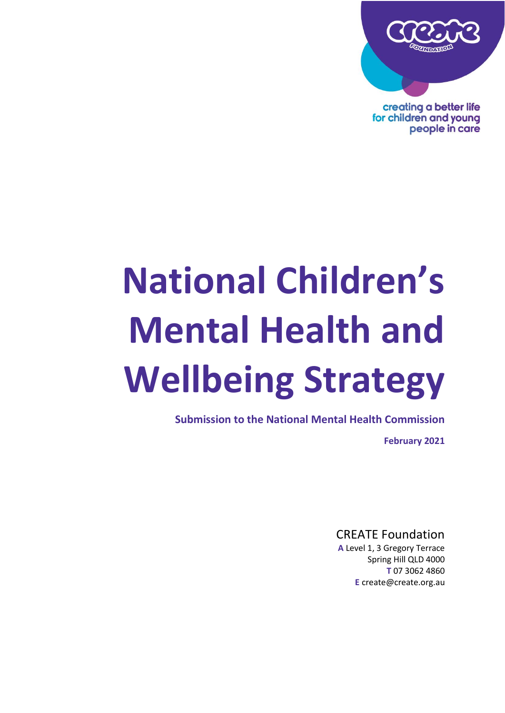

creating a better life for children and young people in care

# **National Children's Mental Health and Wellbeing Strategy**

**Submission to the National Mental Health Commission**

**February 2021**

CREATE Foundation

**A** Level 1, 3 Gregory Terrace Spring Hill QLD 4000 **T** 07 3062 4860 **E** create@create.org.au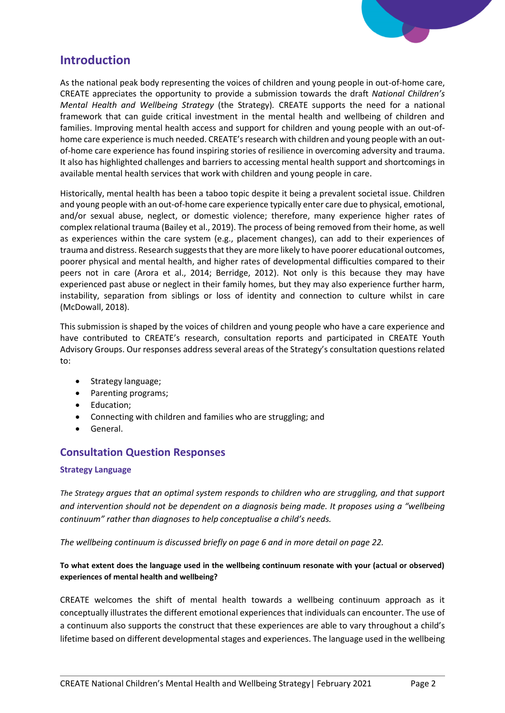

# **Introduction**

As the national peak body representing the voices of children and young people in out-of-home care, CREATE appreciates the opportunity to provide a submission towards the draft *National Children's Mental Health and Wellbeing Strategy* (the Strategy)*.* CREATE supports the need for a national framework that can guide critical investment in the mental health and wellbeing of children and families. Improving mental health access and support for children and young people with an out-ofhome care experience is much needed. CREATE's research with children and young people with an outof-home care experience has found inspiring stories of resilience in overcoming adversity and trauma. It also has highlighted challenges and barriers to accessing mental health support and shortcomings in available mental health services that work with children and young people in care.

Historically, mental health has been a taboo topic despite it being a prevalent societal issue. Children and young people with an out-of-home care experience typically enter care due to physical, emotional, and/or sexual abuse, neglect, or domestic violence; therefore, many experience higher rates of complex relational trauma (Bailey et al., 2019). The process of being removed from their home, as well as experiences within the care system (e.g., placement changes), can add to their experiences of trauma and distress. Research suggests that they are more likely to have poorer educational outcomes, poorer physical and mental health, and higher rates of developmental difficulties compared to their peers not in care (Arora et al., 2014; Berridge, 2012). Not only is this because they may have experienced past abuse or neglect in their family homes, but they may also experience further harm, instability, separation from siblings or loss of identity and connection to culture whilst in care (McDowall, 2018).

This submission is shaped by the voices of children and young people who have a care experience and have contributed to CREATE's research, consultation reports and participated in CREATE Youth Advisory Groups. Our responses address several areas of the Strategy's consultation questions related to:

- Strategy language;
- Parenting programs;
- Education;
- Connecting with children and families who are struggling; and
- General.

# **Consultation Question Responses**

# **Strategy Language**

*The Strategy argues that an optimal system responds to children who are struggling, and that support and intervention should not be dependent on a diagnosis being made. It proposes using a "wellbeing continuum" rather than diagnoses to help conceptualise a child's needs.* 

*The wellbeing continuum is discussed briefly on page 6 and in more detail on page 22.* 

# **To what extent does the language used in the wellbeing continuum resonate with your (actual or observed) experiences of mental health and wellbeing?**

CREATE welcomes the shift of mental health towards a wellbeing continuum approach as it conceptually illustrates the different emotional experiences that individuals can encounter. The use of a continuum also supports the construct that these experiences are able to vary throughout a child's lifetime based on different developmental stages and experiences. The language used in the wellbeing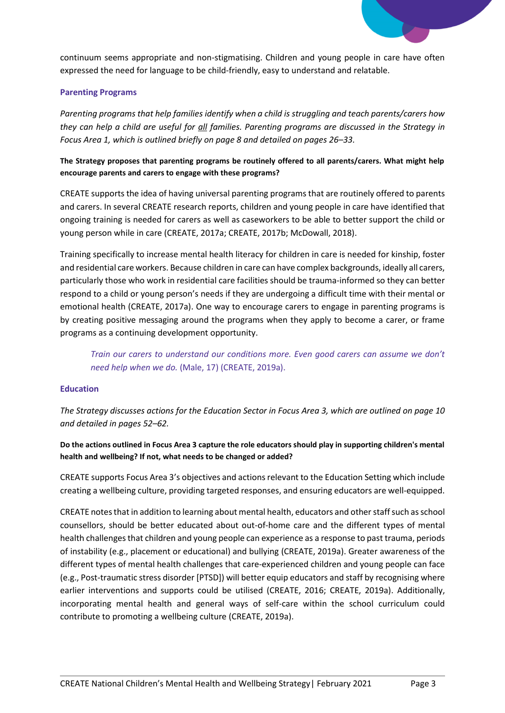

continuum seems appropriate and non-stigmatising. Children and young people in care have often expressed the need for language to be child-friendly, easy to understand and relatable.

### **Parenting Programs**

*Parenting programs that help families identify when a child is struggling and teach parents/carers how they can help a child are useful for all families. Parenting programs are discussed in the Strategy in Focus Area 1, which is outlined briefly on page 8 and detailed on pages 26–33.*

**The Strategy proposes that parenting programs be routinely offered to all parents/carers. What might help encourage parents and carers to engage with these programs?**

CREATE supports the idea of having universal parenting programs that are routinely offered to parents and carers. In several CREATE research reports, children and young people in care have identified that ongoing training is needed for carers as well as caseworkers to be able to better support the child or young person while in care (CREATE, 2017a; CREATE, 2017b; McDowall, 2018).

Training specifically to increase mental health literacy for children in care is needed for kinship, foster and residential care workers. Because children in care can have complex backgrounds, ideally all carers, particularly those who work in residential care facilities should be trauma-informed so they can better respond to a child or young person's needs if they are undergoing a difficult time with their mental or emotional health (CREATE, 2017a). One way to encourage carers to engage in parenting programs is by creating positive messaging around the programs when they apply to become a carer, or frame programs as a continuing development opportunity.

*Train our carers to understand our conditions more. Even good carers can assume we don't need help when we do.* (Male, 17) (CREATE, 2019a).

#### **Education**

*The Strategy discusses actions for the Education Sector in Focus Area 3, which are outlined on page 10 and detailed in pages 52–62.* 

**Do the actions outlined in Focus Area 3 capture the role educators should play in supporting children's mental health and wellbeing? If not, what needs to be changed or added?** 

CREATE supports Focus Area 3's objectives and actions relevant to the Education Setting which include creating a wellbeing culture, providing targeted responses, and ensuring educators are well-equipped.

CREATE notes that in addition to learning about mental health, educators and other staffsuch as school counsellors, should be better educated about out-of-home care and the different types of mental health challenges that children and young people can experience as a response to past trauma, periods of instability (e.g., placement or educational) and bullying (CREATE, 2019a). Greater awareness of the different types of mental health challenges that care-experienced children and young people can face (e.g., Post-traumatic stress disorder [PTSD]) will better equip educators and staff by recognising where earlier interventions and supports could be utilised (CREATE, 2016; CREATE, 2019a). Additionally, incorporating mental health and general ways of self-care within the school curriculum could contribute to promoting a wellbeing culture (CREATE, 2019a).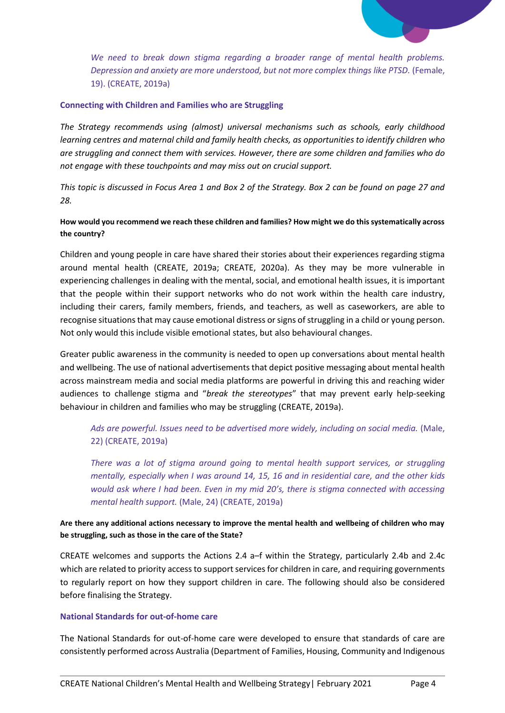

*We need to break down stigma regarding a broader range of mental health problems. Depression and anxiety are more understood, but not more complex things like PTSD.* (Female, 19). (CREATE, 2019a)

#### **Connecting with Children and Families who are Struggling**

*The Strategy recommends using (almost) universal mechanisms such as schools, early childhood learning centres and maternal child and family health checks, as opportunities to identify children who are struggling and connect them with services. However, there are some children and families who do not engage with these touchpoints and may miss out on crucial support.* 

*This topic is discussed in Focus Area 1 and Box 2 of the Strategy. Box 2 can be found on page 27 and 28.* 

# **How would you recommend we reach these children and families? How might we do this systematically across the country?**

Children and young people in care have shared their stories about their experiences regarding stigma around mental health (CREATE, 2019a; CREATE, 2020a). As they may be more vulnerable in experiencing challenges in dealing with the mental, social, and emotional health issues, it is important that the people within their support networks who do not work within the health care industry, including their carers, family members, friends, and teachers, as well as caseworkers, are able to recognise situations that may cause emotional distress or signs of struggling in a child or young person. Not only would this include visible emotional states, but also behavioural changes.

Greater public awareness in the community is needed to open up conversations about mental health and wellbeing. The use of national advertisements that depict positive messaging about mental health across mainstream media and social media platforms are powerful in driving this and reaching wider audiences to challenge stigma and "*break the stereotypes*" that may prevent early help-seeking behaviour in children and families who may be struggling (CREATE, 2019a).

*Ads are powerful. Issues need to be advertised more widely, including on social media.* (Male, 22) (CREATE, 2019a)

*There was a lot of stigma around going to mental health support services, or struggling mentally, especially when I was around 14, 15, 16 and in residential care, and the other kids would ask where I had been. Even in my mid 20's, there is stigma connected with accessing mental health support.* (Male, 24) (CREATE, 2019a)

# **Are there any additional actions necessary to improve the mental health and wellbeing of children who may be struggling, such as those in the care of the State?**

CREATE welcomes and supports the Actions 2.4 a–f within the Strategy, particularly 2.4b and 2.4c which are related to priority access to support services for children in care, and requiring governments to regularly report on how they support children in care. The following should also be considered before finalising the Strategy.

#### **National Standards for out-of-home care**

The National Standards for out-of-home care were developed to ensure that standards of care are consistently performed across Australia (Department of Families, Housing, Community and Indigenous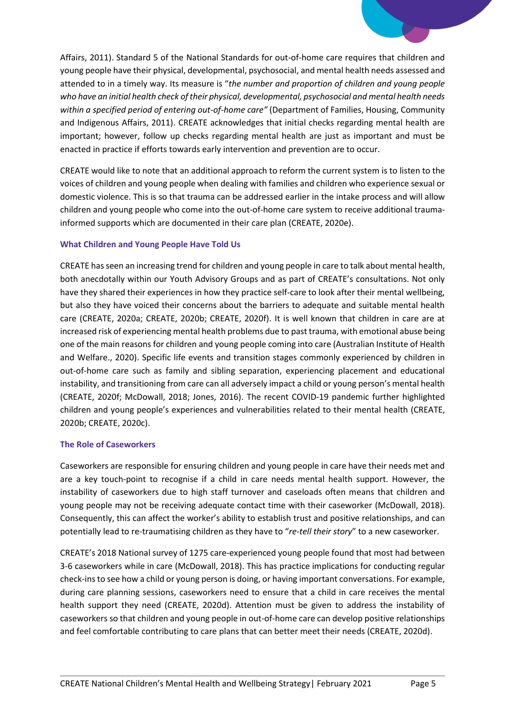Affairs, 2011). Standard 5 of the National Standards for out-of-home care requires that children and young people have their physical, developmental, psychosocial, and mental health needs assessed and attended to in a timely way. Its measure is "*the number and proportion of children and young people who have an initial health check of their physical, developmental, psychosocial and mental health needs within a specified period of entering out-of-home care"* (Department of Families, Housing, Community and Indigenous Affairs, 2011). CREATE acknowledges that initial checks regarding mental health are important; however, follow up checks regarding mental health are just as important and must be enacted in practice if efforts towards early intervention and prevention are to occur.

CREATE would like to note that an additional approach to reform the current system is to listen to the voices of children and young people when dealing with families and children who experience sexual or domestic violence. This is so that trauma can be addressed earlier in the intake process and will allow children and young people who come into the out-of-home care system to receive additional traumainformed supports which are documented in their care plan (CREATE, 2020e).

# **What Children and Young People Have Told Us**

CREATE has seen an increasing trend for children and young people in care to talk about mental health, both anecdotally within our Youth Advisory Groups and as part of CREATE's consultations. Not only have they shared their experiences in how they practice self-care to look after their mental wellbeing, but also they have voiced their concerns about the barriers to adequate and suitable mental health care (CREATE, 2020a; CREATE, 2020b; CREATE, 2020f). It is well known that children in care are at increased risk of experiencing mental health problems due to past trauma, with emotional abuse being one of the main reasons for children and young people coming into care (Australian Institute of Health and Welfare., 2020). Specific life events and transition stages commonly experienced by children in out-of-home care such as family and sibling separation, experiencing placement and educational instability, and transitioning from care can all adversely impact a child or young person's mental health (CREATE, 2020f; McDowall, 2018; Jones, 2016). The recent COVID-19 pandemic further highlighted children and young people's experiences and vulnerabilities related to their mental health (CREATE, 2020b; CREATE, 2020c).

# **The Role of Caseworkers**

Caseworkers are responsible for ensuring children and young people in care have their needs met and are a key touch-point to recognise if a child in care needs mental health support. However, the instability of caseworkers due to high staff turnover and caseloads often means that children and young people may not be receiving adequate contact time with their caseworker (McDowall, 2018). Consequently, this can affect the worker's ability to establish trust and positive relationships, and can potentially lead to re-traumatising children as they have to "*re-tell their story*" to a new caseworker.

CREATE's 2018 National survey of 1275 care-experienced young people found that most had between 3-6 caseworkers while in care (McDowall, 2018). This has practice implications for conducting regular check-ins to see how a child or young person is doing, or having important conversations. For example, during care planning sessions, caseworkers need to ensure that a child in care receives the mental health support they need (CREATE, 2020d). Attention must be given to address the instability of caseworkers so that children and young people in out-of-home care can develop positive relationships and feel comfortable contributing to care plans that can better meet their needs (CREATE, 2020d).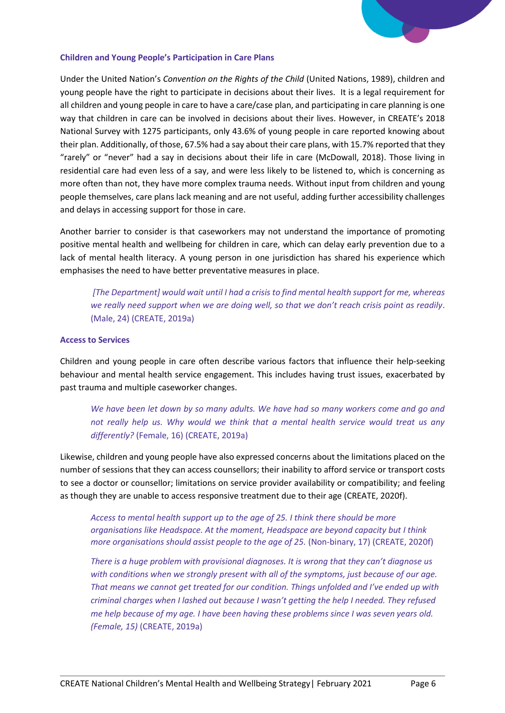

#### **Children and Young People's Participation in Care Plans**

Under the United Nation's *Convention on the Rights of the Child* (United Nations, 1989), children and young people have the right to participate in decisions about their lives. It is a legal requirement for all children and young people in care to have a care/case plan, and participating in care planning is one way that children in care can be involved in decisions about their lives. However, in CREATE's 2018 National Survey with 1275 participants, only 43.6% of young people in care reported knowing about their plan. Additionally, of those, 67.5% had a say about their care plans, with 15.7% reported that they "rarely" or "never" had a say in decisions about their life in care (McDowall, 2018). Those living in residential care had even less of a say, and were less likely to be listened to, which is concerning as more often than not, they have more complex trauma needs. Without input from children and young people themselves, care plans lack meaning and are not useful, adding further accessibility challenges and delays in accessing support for those in care.

Another barrier to consider is that caseworkers may not understand the importance of promoting positive mental health and wellbeing for children in care, which can delay early prevention due to a lack of mental health literacy. A young person in one jurisdiction has shared his experience which emphasises the need to have better preventative measures in place.

*[The Department] would wait until I had a crisis to find mental health support for me, whereas we really need support when we are doing well, so that we don't reach crisis point as readily*. (Male, 24) (CREATE, 2019a)

#### **Access to Services**

Children and young people in care often describe various factors that influence their help-seeking behaviour and mental health service engagement. This includes having trust issues, exacerbated by past trauma and multiple caseworker changes.

*We have been let down by so many adults. We have had so many workers come and go and not really help us. Why would we think that a mental health service would treat us any differently?* (Female, 16) (CREATE, 2019a)

Likewise, children and young people have also expressed concerns about the limitations placed on the number of sessions that they can access counsellors; their inability to afford service or transport costs to see a doctor or counsellor; limitations on service provider availability or compatibility; and feeling as though they are unable to access responsive treatment due to their age (CREATE, 2020f).

*Access to mental health support up to the age of 25. I think there should be more organisations like Headspace. At the moment, Headspace are beyond capacity but I think more organisations should assist people to the age of 25. (Non-binary, 17) (CREATE, 2020f)* 

*There is a huge problem with provisional diagnoses. It is wrong that they can't diagnose us with conditions when we strongly present with all of the symptoms, just because of our age. That means we cannot get treated for our condition. Things unfolded and I've ended up with criminal charges when I lashed out because I wasn't getting the help I needed. They refused me help because of my age. I have been having these problems since I was seven years old. (Female, 15)* (CREATE, 2019a)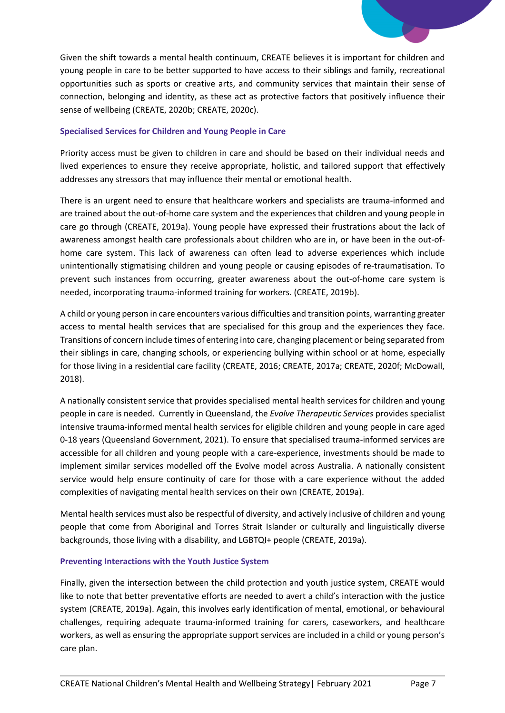

#### **Specialised Services for Children and Young People in Care**

Priority access must be given to children in care and should be based on their individual needs and lived experiences to ensure they receive appropriate, holistic, and tailored support that effectively addresses any stressors that may influence their mental or emotional health.

There is an urgent need to ensure that healthcare workers and specialists are trauma-informed and are trained about the out-of-home care system and the experiences that children and young people in care go through (CREATE, 2019a). Young people have expressed their frustrations about the lack of awareness amongst health care professionals about children who are in, or have been in the out-ofhome care system. This lack of awareness can often lead to adverse experiences which include unintentionally stigmatising children and young people or causing episodes of re-traumatisation. To prevent such instances from occurring, greater awareness about the out-of-home care system is needed, incorporating trauma-informed training for workers. (CREATE, 2019b).

A child or young person in care encounters various difficulties and transition points, warranting greater access to mental health services that are specialised for this group and the experiences they face. Transitions of concern include times of entering into care, changing placement or being separated from their siblings in care, changing schools, or experiencing bullying within school or at home, especially for those living in a residential care facility (CREATE, 2016; CREATE, 2017a; CREATE, 2020f; McDowall, 2018).

A nationally consistent service that provides specialised mental health services for children and young people in care is needed. Currently in Queensland, the *Evolve Therapeutic Services* provides specialist intensive trauma-informed mental health services for eligible children and young people in care aged 0-18 years (Queensland Government, 2021). To ensure that specialised trauma-informed services are accessible for all children and young people with a care-experience, investments should be made to implement similar services modelled off the Evolve model across Australia. A nationally consistent service would help ensure continuity of care for those with a care experience without the added complexities of navigating mental health services on their own (CREATE, 2019a).

Mental health services must also be respectful of diversity, and actively inclusive of children and young people that come from Aboriginal and Torres Strait Islander or culturally and linguistically diverse backgrounds, those living with a disability, and LGBTQI+ people (CREATE, 2019a).

#### **Preventing Interactions with the Youth Justice System**

Finally, given the intersection between the child protection and youth justice system, CREATE would like to note that better preventative efforts are needed to avert a child's interaction with the justice system (CREATE, 2019a). Again, this involves early identification of mental, emotional, or behavioural challenges, requiring adequate trauma-informed training for carers, caseworkers, and healthcare workers, as well as ensuring the appropriate support services are included in a child or young person's care plan.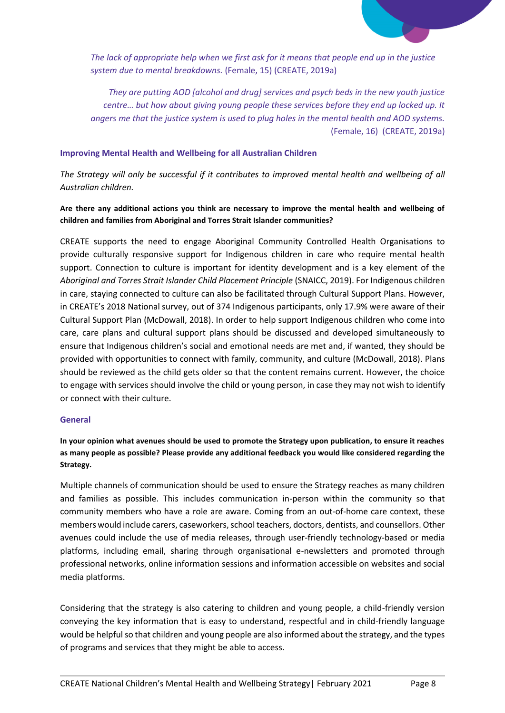

*The lack of appropriate help when we first ask for it means that people end up in the justice system due to mental breakdowns.* (Female, 15) (CREATE, 2019a)

*They are putting AOD [alcohol and drug] services and psych beds in the new youth justice centre… but how about giving young people these services before they end up locked up. It angers me that the justice system is used to plug holes in the mental health and AOD systems.*  (Female, 16) (CREATE, 2019a)

#### **Improving Mental Health and Wellbeing for all Australian Children**

*The Strategy will only be successful if it contributes to improved mental health and wellbeing of all Australian children.* 

#### **Are there any additional actions you think are necessary to improve the mental health and wellbeing of children and families from Aboriginal and Torres Strait Islander communities?**

CREATE supports the need to engage Aboriginal Community Controlled Health Organisations to provide culturally responsive support for Indigenous children in care who require mental health support. Connection to culture is important for identity development and is a key element of the *Aboriginal and Torres Strait Islander Child Placement Principle* (SNAICC, 2019). For Indigenous children in care, staying connected to culture can also be facilitated through Cultural Support Plans. However, in CREATE's 2018 National survey, out of 374 Indigenous participants, only 17.9% were aware of their Cultural Support Plan (McDowall, 2018). In order to help support Indigenous children who come into care, care plans and cultural support plans should be discussed and developed simultaneously to ensure that Indigenous children's social and emotional needs are met and, if wanted, they should be provided with opportunities to connect with family, community, and culture (McDowall, 2018). Plans should be reviewed as the child gets older so that the content remains current. However, the choice to engage with services should involve the child or young person, in case they may not wish to identify or connect with their culture.

#### **General**

**In your opinion what avenues should be used to promote the Strategy upon publication, to ensure it reaches as many people as possible? Please provide any additional feedback you would like considered regarding the Strategy.**

Multiple channels of communication should be used to ensure the Strategy reaches as many children and families as possible. This includes communication in-person within the community so that community members who have a role are aware. Coming from an out-of-home care context, these members would include carers, caseworkers, school teachers, doctors, dentists, and counsellors. Other avenues could include the use of media releases, through user-friendly technology-based or media platforms, including email, sharing through organisational e-newsletters and promoted through professional networks, online information sessions and information accessible on websites and social media platforms.

Considering that the strategy is also catering to children and young people, a child-friendly version conveying the key information that is easy to understand, respectful and in child-friendly language would be helpful so that children and young people are also informed about the strategy, and the types of programs and services that they might be able to access.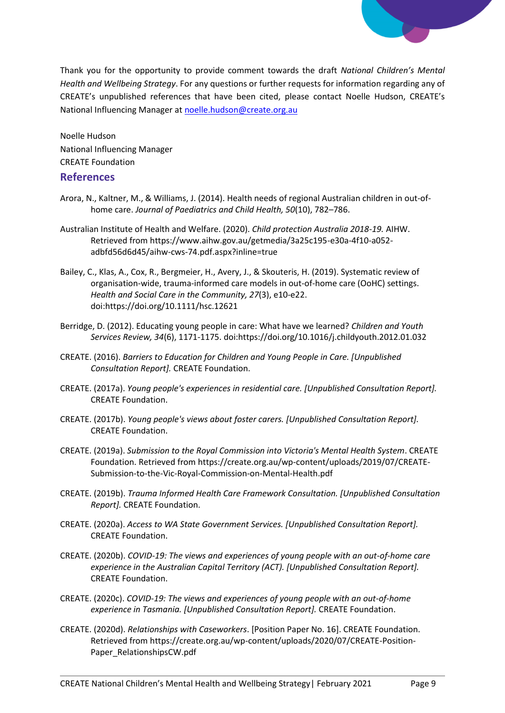

Thank you for the opportunity to provide comment towards the draft *National Children's Mental Health and Wellbeing Strategy*. For any questions or further requests for information regarding any of CREATE's unpublished references that have been cited, please contact Noelle Hudson, CREATE's National Influencing Manager a[t noelle.hudson@create.org.au](mailto:noelle.hudson@create.org.au)

Noelle Hudson National Influencing Manager CREATE Foundation

# **References**

- Arora, N., Kaltner, M., & Williams, J. (2014). Health needs of regional Australian children in out-ofhome care. *Journal of Paediatrics and Child Health, 50*(10), 782–786.
- Australian Institute of Health and Welfare. (2020). *Child protection Australia 2018-19.* AIHW. Retrieved from https://www.aihw.gov.au/getmedia/3a25c195-e30a-4f10-a052 adbfd56d6d45/aihw-cws-74.pdf.aspx?inline=true
- Bailey, C., Klas, A., Cox, R., Bergmeier, H., Avery, J., & Skouteris, H. (2019). Systematic review of organisation-wide, trauma-informed care models in out-of-home care (OoHC) settings. *Health and Social Care in the Community, 27*(3), e10-e22. doi:https://doi.org/10.1111/hsc.12621
- Berridge, D. (2012). Educating young people in care: What have we learned? *Children and Youth Services Review, 34*(6), 1171-1175. doi:https://doi.org/10.1016/j.childyouth.2012.01.032
- CREATE. (2016). *Barriers to Education for Children and Young People in Care. [Unpublished Consultation Report].* CREATE Foundation.
- CREATE. (2017a). *Young people's experiences in residential care. [Unpublished Consultation Report].* CREATE Foundation.
- CREATE. (2017b). *Young people's views about foster carers. [Unpublished Consultation Report].* CREATE Foundation.
- CREATE. (2019a). *Submission to the Royal Commission into Victoria's Mental Health System*. CREATE Foundation. Retrieved from https://create.org.au/wp-content/uploads/2019/07/CREATE-Submission-to-the-Vic-Royal-Commission-on-Mental-Health.pdf
- CREATE. (2019b). *Trauma Informed Health Care Framework Consultation. [Unpublished Consultation Report].* CREATE Foundation.
- CREATE. (2020a). *Access to WA State Government Services. [Unpublished Consultation Report].* CREATE Foundation.
- CREATE. (2020b). *COVID-19: The views and experiences of young people with an out-of-home care experience in the Australian Capital Territory (ACT). [Unpublished Consultation Report].* CREATE Foundation.
- CREATE. (2020c). *COVID-19: The views and experiences of young people with an out-of-home experience in Tasmania. [Unpublished Consultation Report].* CREATE Foundation.
- CREATE. (2020d). *Relationships with Caseworkers*. [Position Paper No. 16]. CREATE Foundation. Retrieved from https://create.org.au/wp-content/uploads/2020/07/CREATE-Position-Paper\_RelationshipsCW.pdf